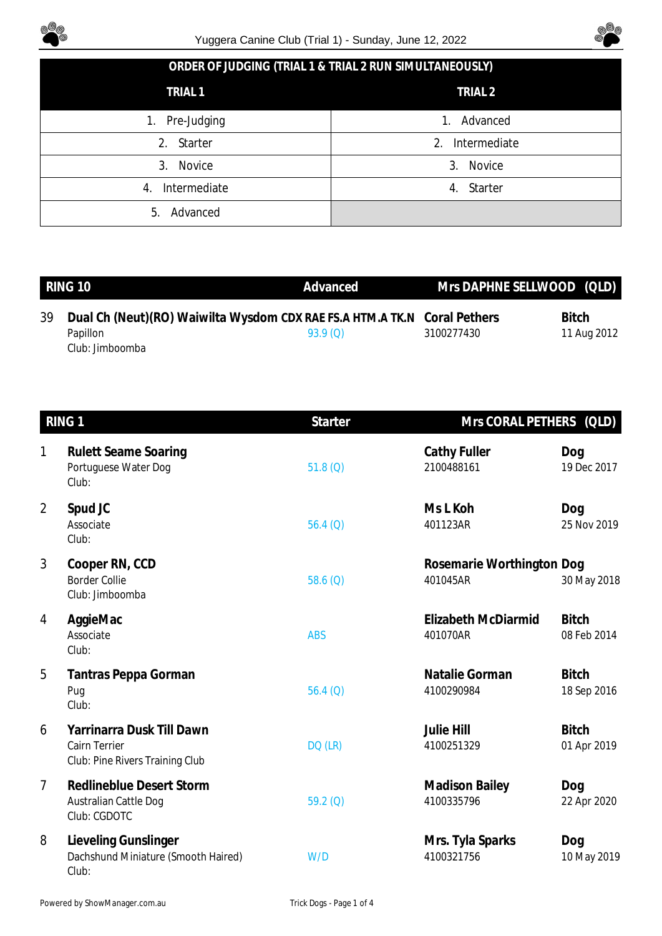



|  | ORDER OF JUDGING (TRIAL 1 & TRIAL 2 RUN SIMULTANEOUSLY) |
|--|---------------------------------------------------------|
|--|---------------------------------------------------------|

| TRIAL <sub>1</sub> | TRIAL <sub>2</sub> |
|--------------------|--------------------|
| Pre-Judging<br>1.  | Advanced<br>1.     |
| 2. Starter         | Intermediate<br>2. |
| Novice<br>3.       | Novice<br>3.       |
| Intermediate<br>4. | Starter<br>4.      |
| Advanced<br>5.     |                    |

|    | RING 10                     | Advanced                                                                            |            | Mrs DAPHNE SELLWOOD (QLD)   |
|----|-----------------------------|-------------------------------------------------------------------------------------|------------|-----------------------------|
| 39 | Papillon<br>Club: Jimboomba | Dual Ch (Neut)(RO) Waiwilta Wysdom CDX RAE FS.A HTM.A TK.N Coral Pethers<br>93.9(0) | 3100277430 | <b>Bitch</b><br>11 Aug 2012 |

| RING <sub>1</sub> |                                                                               | <b>Starter</b> |                                       | Mrs CORAL PETHERS (QLD)     |  |
|-------------------|-------------------------------------------------------------------------------|----------------|---------------------------------------|-----------------------------|--|
| 1                 | <b>Rulett Seame Soaring</b><br>Portuguese Water Dog<br>Club:                  | 51.8(Q)        | Cathy Fuller<br>2100488161            | Dog<br>19 Dec 2017          |  |
| $\overline{2}$    | Spud JC<br>Associate<br>Club:                                                 | 56.4 $(Q)$     | Ms L Koh<br>401123AR                  | Dog<br>25 Nov 2019          |  |
| 3                 | Cooper RN, CCD<br><b>Border Collie</b><br>Club: Jimboomba                     | 58.6 $(Q)$     | Rosemarie Worthington Dog<br>401045AR | 30 May 2018                 |  |
| 4                 | AggieMac<br>Associate<br>Club:                                                | <b>ABS</b>     | Elizabeth McDiarmid<br>401070AR       | <b>Bitch</b><br>08 Feb 2014 |  |
| 5                 | Tantras Peppa Gorman<br>Pug<br>Club:                                          | 56.4 $(Q)$     | Natalie Gorman<br>4100290984          | <b>Bitch</b><br>18 Sep 2016 |  |
| 6                 | Yarrinarra Dusk Till Dawn<br>Cairn Terrier<br>Club: Pine Rivers Training Club | DQ (LR)        | <b>Julie Hill</b><br>4100251329       | <b>Bitch</b><br>01 Apr 2019 |  |
| $\overline{7}$    | <b>Redlineblue Desert Storm</b><br>Australian Cattle Dog<br>Club: CGDOTC      | $59.2$ (Q)     | <b>Madison Bailey</b><br>4100335796   | Dog<br>22 Apr 2020          |  |
| 8                 | Lieveling Gunslinger<br>Dachshund Miniature (Smooth Haired)<br>Club:          | W/D            | Mrs. Tyla Sparks<br>4100321756        | Dog<br>10 May 2019          |  |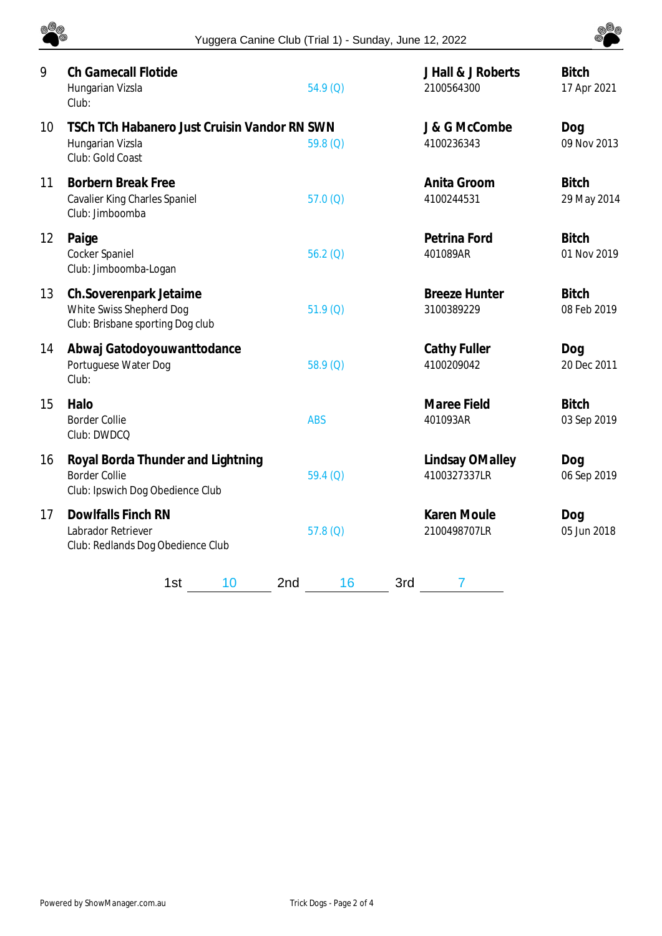

| 9  | <b>Ch Gamecall Flotide</b><br>Hungarian Vizsla<br>Club:                                       | 54.9(Q)    | J Hall & J Roberts<br>2100564300   | <b>Bitch</b><br>17 Apr 2021 |
|----|-----------------------------------------------------------------------------------------------|------------|------------------------------------|-----------------------------|
| 10 | TSCh TCh Habanero Just Cruisin Vandor RN SWN<br>Hungarian Vizsla<br>Club: Gold Coast          | 59.8 $(Q)$ | J & G McCombe<br>4100236343        | Dog<br>09 Nov 2013          |
| 11 | <b>Borbern Break Free</b><br>Cavalier King Charles Spaniel<br>Club: Jimboomba                 | 57.0(Q)    | Anita Groom<br>4100244531          | <b>Bitch</b><br>29 May 2014 |
| 12 | Paige<br>Cocker Spaniel<br>Club: Jimboomba-Logan                                              | 56.2(Q)    | Petrina Ford<br>401089AR           | <b>Bitch</b><br>01 Nov 2019 |
| 13 | Ch.Soverenpark Jetaime<br>White Swiss Shepherd Dog<br>Club: Brisbane sporting Dog club        | 51.9(Q)    | <b>Breeze Hunter</b><br>3100389229 | <b>Bitch</b><br>08 Feb 2019 |
| 14 | Abwaj Gatodoyouwanttodance<br>Portuguese Water Dog<br>Club:                                   | $58.9$ (Q) | Cathy Fuller<br>4100209042         | Dog<br>20 Dec 2011          |
| 15 | Halo<br><b>Border Collie</b><br>Club: DWDCQ                                                   | <b>ABS</b> | Maree Field<br>401093AR            | <b>Bitch</b><br>03 Sep 2019 |
| 16 | Royal Borda Thunder and Lightning<br><b>Border Collie</b><br>Club: Ipswich Dog Obedience Club | 59.4(0)    | Lindsay OMalley<br>4100327337LR    | Dog<br>06 Sep 2019          |
| 17 | Dowlfalls Finch RN<br>Labrador Retriever<br>Club: Redlands Dog Obedience Club                 | $57.8$ (Q) | Karen Moule<br>2100498707LR        | Dog<br>05 Jun 2018          |
|    | 10<br>2nd<br>1st                                                                              | 16<br>3rd  | 7                                  |                             |

@@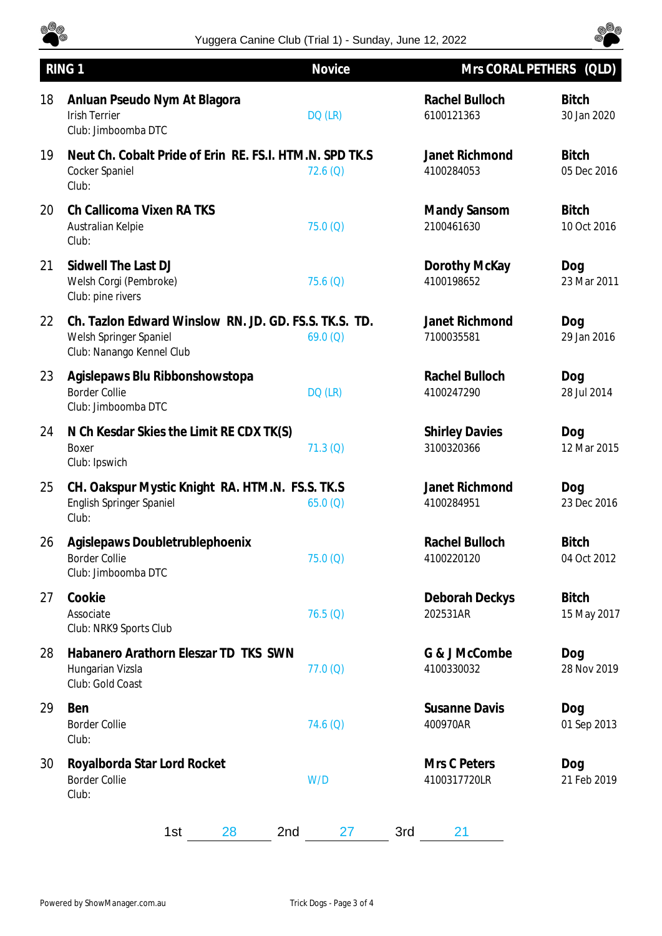

## Yuggera Canine Club (Trial 1) - Sunday, June 12, 2022



|    | RING <sub>1</sub>                                                                                            | Novice   | Mrs CORAL PETHERS (QLD)             |                             |
|----|--------------------------------------------------------------------------------------------------------------|----------|-------------------------------------|-----------------------------|
| 18 | Anluan Pseudo Nym At Blagora<br><b>Irish Terrier</b><br>Club: Jimboomba DTC                                  | DQ (LR)  | Rachel Bulloch<br>6100121363        | <b>Bitch</b><br>30 Jan 2020 |
| 19 | Neut Ch. Cobalt Pride of Erin RE. FS.I. HTM.N. SPD TK.S<br>Cocker Spaniel<br>Club:                           | 72.6(Q)  | Janet Richmond<br>4100284053        | <b>Bitch</b><br>05 Dec 2016 |
| 20 | Ch Callicoma Vixen RA TKS<br>Australian Kelpie<br>Club:                                                      | 75.0(Q)  | Mandy Sansom<br>2100461630          | <b>Bitch</b><br>10 Oct 2016 |
| 21 | Sidwell The Last DJ<br>Welsh Corgi (Pembroke)<br>Club: pine rivers                                           | 75.6(Q)  | Dorothy McKay<br>4100198652         | Dog<br>23 Mar 2011          |
| 22 | Ch. Tazlon Edward Winslow RN. JD. GD. FS.S. TK.S. TD.<br>Welsh Springer Spaniel<br>Club: Nanango Kennel Club | 69.0(Q)  | Janet Richmond<br>7100035581        | Dog<br>29 Jan 2016          |
| 23 | Agislepaws Blu Ribbonshowstopa<br><b>Border Collie</b><br>Club: Jimboomba DTC                                | DQ (LR)  | Rachel Bulloch<br>4100247290        | Dog<br>28 Jul 2014          |
| 24 | N Ch Kesdar Skies the Limit RE CDX TK(S)<br>Boxer<br>Club: Ipswich                                           | 71.3 (Q) | <b>Shirley Davies</b><br>3100320366 | Dog<br>12 Mar 2015          |
| 25 | CH. Oakspur Mystic Knight RA. HTM.N. FS.S. TK.S<br>English Springer Spaniel<br>Club:                         | 65.0(Q)  | Janet Richmond<br>4100284951        | Dog<br>23 Dec 2016          |
| 26 | Agislepaws Doubletrublephoenix<br><b>Border Collie</b><br>Club: Jimboomba DTC                                | 75.0(Q)  | Rachel Bulloch<br>4100220120        | <b>Bitch</b><br>04 Oct 2012 |
| 27 | Cookie<br>Associate<br>Club: NRK9 Sports Club                                                                | 76.5(Q)  | Deborah Deckys<br>202531AR          | <b>Bitch</b><br>15 May 2017 |
| 28 | Habanero Arathorn Eleszar TD TKS SWN<br>Hungarian Vizsla<br>Club: Gold Coast                                 | 77.0(Q)  | G & J McCombe<br>4100330032         | Dog<br>28 Nov 2019          |
| 29 | Ben<br><b>Border Collie</b><br>Club:                                                                         | 74.6(Q)  | <b>Susanne Davis</b><br>400970AR    | Dog<br>01 Sep 2013          |
| 30 | Royalborda Star Lord Rocket<br><b>Border Collie</b><br>Club:                                                 | W/D      | Mrs C Peters<br>4100317720LR        | Dog<br>21 Feb 2019          |
|    | 1st<br>28<br>2nd                                                                                             | 27       | 3rd<br>21                           |                             |